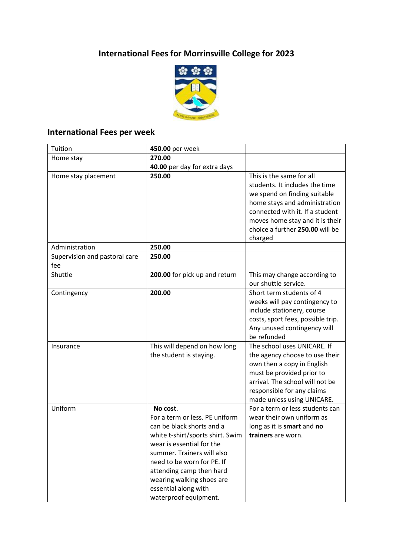# **International Fees for Morrinsville College for 2023**



#### **International Fees per week**

| Tuition                              | 450.00 per week                                                                                                                                                                                                                                                                                                |                                                                                                                                                                                                                                                 |
|--------------------------------------|----------------------------------------------------------------------------------------------------------------------------------------------------------------------------------------------------------------------------------------------------------------------------------------------------------------|-------------------------------------------------------------------------------------------------------------------------------------------------------------------------------------------------------------------------------------------------|
| Home stay                            | 270.00                                                                                                                                                                                                                                                                                                         |                                                                                                                                                                                                                                                 |
|                                      | 40.00 per day for extra days                                                                                                                                                                                                                                                                                   |                                                                                                                                                                                                                                                 |
| Home stay placement                  | 250.00                                                                                                                                                                                                                                                                                                         | This is the same for all<br>students. It includes the time<br>we spend on finding suitable<br>home stays and administration<br>connected with it. If a student<br>moves home stay and it is their<br>choice a further 250.00 will be<br>charged |
| Administration                       | 250.00                                                                                                                                                                                                                                                                                                         |                                                                                                                                                                                                                                                 |
| Supervision and pastoral care<br>fee | 250.00                                                                                                                                                                                                                                                                                                         |                                                                                                                                                                                                                                                 |
| Shuttle                              | 200.00 for pick up and return                                                                                                                                                                                                                                                                                  | This may change according to<br>our shuttle service.                                                                                                                                                                                            |
| Contingency                          | 200.00                                                                                                                                                                                                                                                                                                         | Short term students of 4<br>weeks will pay contingency to<br>include stationery, course<br>costs, sport fees, possible trip.<br>Any unused contingency will<br>be refunded                                                                      |
| Insurance                            | This will depend on how long<br>the student is staying.                                                                                                                                                                                                                                                        | The school uses UNICARE. If<br>the agency choose to use their<br>own then a copy in English<br>must be provided prior to<br>arrival. The school will not be<br>responsible for any claims<br>made unless using UNICARE.                         |
| Uniform                              | No cost.<br>For a term or less. PE uniform<br>can be black shorts and a<br>white t-shirt/sports shirt. Swim<br>wear is essential for the<br>summer. Trainers will also<br>need to be worn for PE. If<br>attending camp then hard<br>wearing walking shoes are<br>essential along with<br>waterproof equipment. | For a term or less students can<br>wear their own uniform as<br>long as it is smart and no<br>trainers are worn.                                                                                                                                |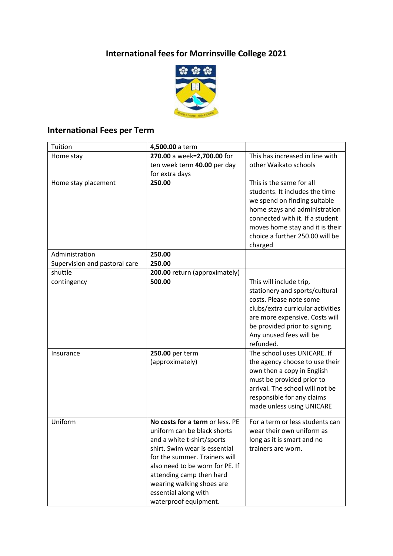## **International fees for Morrinsville College 2021**



## **International Fees per Term**

| Tuition                       | 4,500.00 a term                                                                                                                                                                                                                                                                                                                          |                                                                                                                                                                                                                                                                                                                                                                                                                                                                                                                       |
|-------------------------------|------------------------------------------------------------------------------------------------------------------------------------------------------------------------------------------------------------------------------------------------------------------------------------------------------------------------------------------|-----------------------------------------------------------------------------------------------------------------------------------------------------------------------------------------------------------------------------------------------------------------------------------------------------------------------------------------------------------------------------------------------------------------------------------------------------------------------------------------------------------------------|
| Home stay                     | 270.00 a week=2,700.00 for                                                                                                                                                                                                                                                                                                               | This has increased in line with                                                                                                                                                                                                                                                                                                                                                                                                                                                                                       |
|                               | ten week term 40.00 per day                                                                                                                                                                                                                                                                                                              | other Waikato schools                                                                                                                                                                                                                                                                                                                                                                                                                                                                                                 |
|                               | for extra days                                                                                                                                                                                                                                                                                                                           |                                                                                                                                                                                                                                                                                                                                                                                                                                                                                                                       |
| Home stay placement           | 250.00                                                                                                                                                                                                                                                                                                                                   | This is the same for all                                                                                                                                                                                                                                                                                                                                                                                                                                                                                              |
|                               |                                                                                                                                                                                                                                                                                                                                          | students. It includes the time                                                                                                                                                                                                                                                                                                                                                                                                                                                                                        |
|                               |                                                                                                                                                                                                                                                                                                                                          | we spend on finding suitable                                                                                                                                                                                                                                                                                                                                                                                                                                                                                          |
|                               |                                                                                                                                                                                                                                                                                                                                          | home stays and administration                                                                                                                                                                                                                                                                                                                                                                                                                                                                                         |
|                               |                                                                                                                                                                                                                                                                                                                                          | connected with it. If a student                                                                                                                                                                                                                                                                                                                                                                                                                                                                                       |
|                               |                                                                                                                                                                                                                                                                                                                                          | moves home stay and it is their                                                                                                                                                                                                                                                                                                                                                                                                                                                                                       |
|                               |                                                                                                                                                                                                                                                                                                                                          | choice a further 250.00 will be                                                                                                                                                                                                                                                                                                                                                                                                                                                                                       |
|                               |                                                                                                                                                                                                                                                                                                                                          | charged                                                                                                                                                                                                                                                                                                                                                                                                                                                                                                               |
| Administration                | 250.00                                                                                                                                                                                                                                                                                                                                   |                                                                                                                                                                                                                                                                                                                                                                                                                                                                                                                       |
| Supervision and pastoral care | 250.00                                                                                                                                                                                                                                                                                                                                   |                                                                                                                                                                                                                                                                                                                                                                                                                                                                                                                       |
| shuttle                       | 200.00 return (approximately)                                                                                                                                                                                                                                                                                                            |                                                                                                                                                                                                                                                                                                                                                                                                                                                                                                                       |
| contingency                   |                                                                                                                                                                                                                                                                                                                                          | This will include trip,                                                                                                                                                                                                                                                                                                                                                                                                                                                                                               |
|                               |                                                                                                                                                                                                                                                                                                                                          |                                                                                                                                                                                                                                                                                                                                                                                                                                                                                                                       |
|                               |                                                                                                                                                                                                                                                                                                                                          |                                                                                                                                                                                                                                                                                                                                                                                                                                                                                                                       |
|                               |                                                                                                                                                                                                                                                                                                                                          |                                                                                                                                                                                                                                                                                                                                                                                                                                                                                                                       |
|                               |                                                                                                                                                                                                                                                                                                                                          |                                                                                                                                                                                                                                                                                                                                                                                                                                                                                                                       |
|                               |                                                                                                                                                                                                                                                                                                                                          |                                                                                                                                                                                                                                                                                                                                                                                                                                                                                                                       |
|                               |                                                                                                                                                                                                                                                                                                                                          |                                                                                                                                                                                                                                                                                                                                                                                                                                                                                                                       |
|                               |                                                                                                                                                                                                                                                                                                                                          |                                                                                                                                                                                                                                                                                                                                                                                                                                                                                                                       |
| Insurance                     | 250.00 per term                                                                                                                                                                                                                                                                                                                          |                                                                                                                                                                                                                                                                                                                                                                                                                                                                                                                       |
|                               |                                                                                                                                                                                                                                                                                                                                          | the agency choose to use their                                                                                                                                                                                                                                                                                                                                                                                                                                                                                        |
|                               |                                                                                                                                                                                                                                                                                                                                          |                                                                                                                                                                                                                                                                                                                                                                                                                                                                                                                       |
|                               |                                                                                                                                                                                                                                                                                                                                          |                                                                                                                                                                                                                                                                                                                                                                                                                                                                                                                       |
|                               |                                                                                                                                                                                                                                                                                                                                          |                                                                                                                                                                                                                                                                                                                                                                                                                                                                                                                       |
|                               |                                                                                                                                                                                                                                                                                                                                          |                                                                                                                                                                                                                                                                                                                                                                                                                                                                                                                       |
|                               |                                                                                                                                                                                                                                                                                                                                          |                                                                                                                                                                                                                                                                                                                                                                                                                                                                                                                       |
|                               |                                                                                                                                                                                                                                                                                                                                          |                                                                                                                                                                                                                                                                                                                                                                                                                                                                                                                       |
|                               |                                                                                                                                                                                                                                                                                                                                          |                                                                                                                                                                                                                                                                                                                                                                                                                                                                                                                       |
|                               |                                                                                                                                                                                                                                                                                                                                          |                                                                                                                                                                                                                                                                                                                                                                                                                                                                                                                       |
|                               |                                                                                                                                                                                                                                                                                                                                          |                                                                                                                                                                                                                                                                                                                                                                                                                                                                                                                       |
|                               |                                                                                                                                                                                                                                                                                                                                          |                                                                                                                                                                                                                                                                                                                                                                                                                                                                                                                       |
|                               |                                                                                                                                                                                                                                                                                                                                          |                                                                                                                                                                                                                                                                                                                                                                                                                                                                                                                       |
|                               |                                                                                                                                                                                                                                                                                                                                          |                                                                                                                                                                                                                                                                                                                                                                                                                                                                                                                       |
|                               |                                                                                                                                                                                                                                                                                                                                          |                                                                                                                                                                                                                                                                                                                                                                                                                                                                                                                       |
|                               |                                                                                                                                                                                                                                                                                                                                          |                                                                                                                                                                                                                                                                                                                                                                                                                                                                                                                       |
|                               |                                                                                                                                                                                                                                                                                                                                          |                                                                                                                                                                                                                                                                                                                                                                                                                                                                                                                       |
| Uniform                       | 500.00<br>(approximately)<br>No costs for a term or less. PE<br>uniform can be black shorts<br>and a white t-shirt/sports<br>shirt. Swim wear is essential<br>for the summer. Trainers will<br>also need to be worn for PE. If<br>attending camp then hard<br>wearing walking shoes are<br>essential along with<br>waterproof equipment. | stationery and sports/cultural<br>costs. Please note some<br>clubs/extra curricular activities<br>are more expensive. Costs will<br>be provided prior to signing.<br>Any unused fees will be<br>refunded.<br>The school uses UNICARE. If<br>own then a copy in English<br>must be provided prior to<br>arrival. The school will not be<br>responsible for any claims<br>made unless using UNICARE<br>For a term or less students can<br>wear their own uniform as<br>long as it is smart and no<br>trainers are worn. |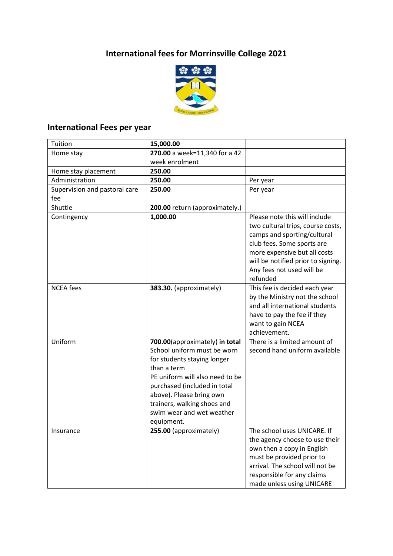## **International fees for Morrinsville College 2021**



#### **International Fees per year**

| Tuition                              | 15,000.00                                                                                                                                                                                                                                                                            |                                                                                                                                                                                                                                                |
|--------------------------------------|--------------------------------------------------------------------------------------------------------------------------------------------------------------------------------------------------------------------------------------------------------------------------------------|------------------------------------------------------------------------------------------------------------------------------------------------------------------------------------------------------------------------------------------------|
| Home stay                            | 270.00 a week=11,340 for a 42                                                                                                                                                                                                                                                        |                                                                                                                                                                                                                                                |
|                                      | week enrolment                                                                                                                                                                                                                                                                       |                                                                                                                                                                                                                                                |
| Home stay placement                  | 250.00                                                                                                                                                                                                                                                                               |                                                                                                                                                                                                                                                |
| Administration                       | 250.00                                                                                                                                                                                                                                                                               | Per year                                                                                                                                                                                                                                       |
| Supervision and pastoral care<br>fee | 250.00                                                                                                                                                                                                                                                                               | Per year                                                                                                                                                                                                                                       |
| Shuttle                              | 200.00 return (approximately.)                                                                                                                                                                                                                                                       |                                                                                                                                                                                                                                                |
| Contingency                          | 1,000.00                                                                                                                                                                                                                                                                             | Please note this will include<br>two cultural trips, course costs,<br>camps and sporting/cultural<br>club fees. Some sports are<br>more expensive but all costs<br>will be notified prior to signing.<br>Any fees not used will be<br>refunded |
| <b>NCEA</b> fees                     | 383.30. (approximately)                                                                                                                                                                                                                                                              | This fee is decided each year<br>by the Ministry not the school<br>and all international students<br>have to pay the fee if they<br>want to gain NCEA<br>achievement.                                                                          |
| Uniform                              | 700.00(approximately) in total<br>School uniform must be worn<br>for students staying longer<br>than a term<br>PE uniform will also need to be<br>purchased (included in total<br>above). Please bring own<br>trainers, walking shoes and<br>swim wear and wet weather<br>equipment. | There is a limited amount of<br>second hand uniform available                                                                                                                                                                                  |
| Insurance                            | 255.00 (approximately)                                                                                                                                                                                                                                                               | The school uses UNICARE. If<br>the agency choose to use their<br>own then a copy in English<br>must be provided prior to<br>arrival. The school will not be<br>responsible for any claims<br>made unless using UNICARE                         |